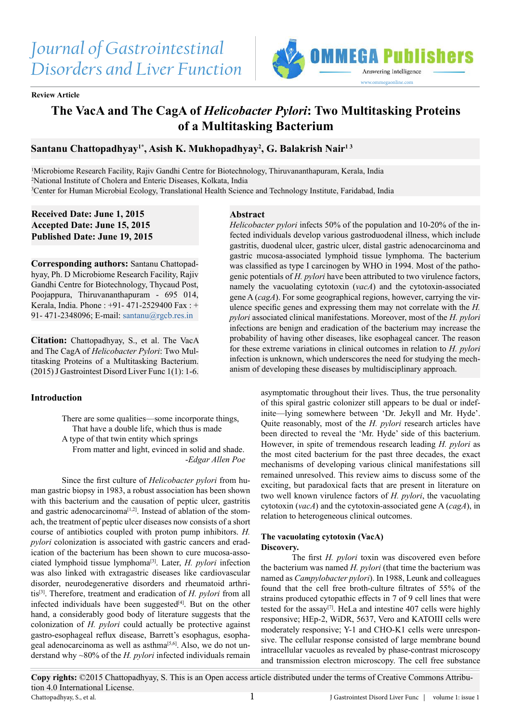# *Journal of Gastrointestinal Disorders and Liver Function*



**Review Article**

## **The VacA and The CagA of** *Helicobacter Pylori***: Two Multitasking Proteins of a Multitasking Bacterium**

### **Santanu Chattopadhyay1\*, Asish K. Mukhopadhyay2 , G. Balakrish Nair1 3**

1 Microbiome Research Facility, Rajiv Gandhi Centre for Biotechnology, Thiruvananthapuram, Kerala, India 2 National Institute of Cholera and Enteric Diseases, Kolkata, India 3 Center for Human Microbial Ecology, Translational Health Science and Technology Institute, Faridabad, India

**Received Date: June 1, 2015 Accepted Date: June 15, 2015 Published Date: June 19, 2015**

**Corresponding authors:** Santanu Chattopadhyay, Ph. D Microbiome Research Facility, Rajiv Gandhi Centre for Biotechnology, Thycaud Post, Poojappura, Thiruvananthapuram - 695 014, Kerala, India. Phone : +91- 471-2529400 Fax : + 91- 471-2348096; E-mail: [santanu@rgcb.res.in](mailto:santanu%40rgcb.res.in?subject=)

**Citation:** Chattopadhyay, S., et al. The VacA and The CagA of *Helicobacter Pylori*: Two Multitasking Proteins of a Multitasking Bacterium. (2015) J Gastrointest Disord Liver Func 1(1): 1-6.

#### **Introduction**

There are some qualities—some incorporate things, That have a double life, which thus is made A type of that twin entity which springs From matter and light, evinced in solid and shade. -*Edgar Allen Poe*

Since the first culture of *Helicobacter pylori* from human gastric biopsy in 1983, a robust association has been shown with this bacterium and the causation of peptic ulcer, gastritis and gastric adenocarcinoma<sup>[1,2]</sup>. Instead of ablation of the stomach, the treatment of peptic ulcer diseases now consists of a short course of antibiotics coupled with proton pump inhibitors. *H. pylori* colonization is associated with gastric cancers and eradication of the bacterium has been shown to cure mucosa-associated lymphoid tissue lymphoma[\[3\]](#page-3-1). Later, *H. pylori* infection was also linked with extragastric diseases like cardiovascular disorder, neurodegenerative disorders and rheumatoid arthritis[\[3\]](#page-3-1). Therefore, treatment and eradication of *H. pylori* from all infected individuals have been suggested<sup>[\[4\]](#page-4-0)</sup>. But on the other hand, a considerably good body of literature suggests that the colonization of *H. pylori* could actually be protective against gastro-esophageal reflux disease, Barrett's esophagus, esophageal adenocarcinoma as well as asthma $[5,6]$ . Also, we do not understand why ~80% of the *H. pylori* infected individuals remain

#### **Abstract**

*Helicobacter pylori* infects 50% of the population and 10-20% of the infected individuals develop various gastroduodenal illness, which include gastritis, duodenal ulcer, gastric ulcer, distal gastric adenocarcinoma and gastric mucosa-associated lymphoid tissue lymphoma. The bacterium was classified as type I carcinogen by WHO in 1994. Most of the pathogenic potentials of *H. pylori* have been attributed to two virulence factors, namely the vacuolating cytotoxin (*vacA*) and the cytotoxin-associated gene A (*cagA*). For some geographical regions, however, carrying the virulence specific genes and expressing them may not correlate with the *H. pylori* associated clinical manifestations. Moreover, most of the *H. pylori* infections are benign and eradication of the bacterium may increase the probability of having other diseases, like esophageal cancer. The reason for these extreme variations in clinical outcomes in relation to *H. pylori* infection is unknown, which underscores the need for studying the mechanism of developing these diseases by multidisciplinary approach.

> asymptomatic throughout their lives. Thus, the true personality of this spiral gastric colonizer still appears to be dual or indefinite—lying somewhere between 'Dr. Jekyll and Mr. Hyde'. Quite reasonably, most of the *H. pylori* research articles have been directed to reveal the 'Mr. Hyde' side of this bacterium. However, in spite of tremendous research leading *H. pylori* as the most cited bacterium for the past three decades, the exact mechanisms of developing various clinical manifestations sill remained unresolved. This review aims to discuss some of the exciting, but paradoxical facts that are present in literature on two well known virulence factors of *H. pylori*, the vacuolating cytotoxin (*vacA*) and the cytotoxin-associated gene A (*cagA*), in relation to heterogeneous clinical outcomes.

#### **The vacuolating cytotoxin (VacA) Discovery.**

The first *H. pylori* toxin was discovered even before the bacterium was named *H. pylori* (that time the bacterium was named as *Campylobacter pylori*). In 1988, Leunk and colleagues found that the cell free broth-culture filtrates of 55% of the strains produced cytopathic effects in 7 of 9 cell lines that were tested for the assay<sup>[\[7\]](#page-4-2)</sup>. HeLa and intestine 407 cells were highly responsive; HEp-2, WiDR, 5637, Vero and KATOIII cells were moderately responsive; Y-1 and CHO-K1 cells were unresponsive. The cellular response consisted of large membrane bound intracellular vacuoles as revealed by phase-contrast microscopy and transmission electron microscopy. The cell free substance

**Copy rights:** ©2015 Chattopadhyay, S. This is an Open access article distributed under the terms of Creative Commons Attribution 4.0 International License. 1 Chattopadhyay, S., et al. J Gastrointest Disord Liver Func | volume 1: issue 1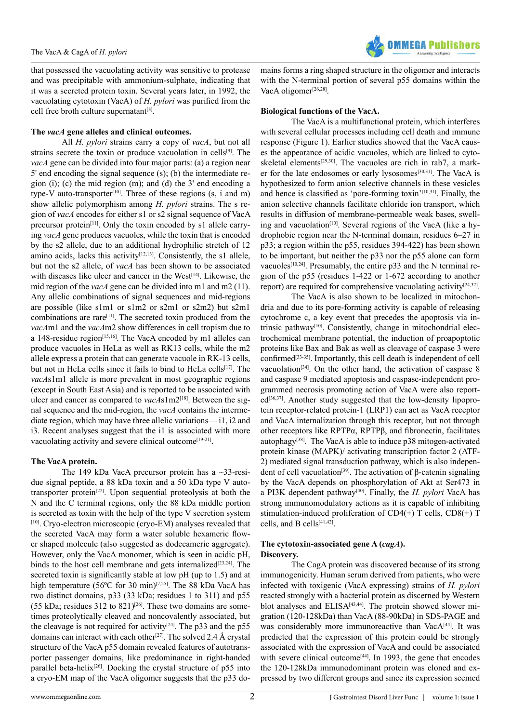that possessed the vacuolating activity was sensitive to protease and was precipitable with ammonium-sulphate, indicating that it was a secreted protein toxin. Several years later, in 1992, the vacuolating cytotoxin (VacA) of *H. pylori* was purified from the cell free broth culture supernatant $[8]$ .

#### **The** *vacA* **gene alleles and clinical outcomes.**

All *H. pylori* strains carry a copy of *vacA*, but not all strains secrete the toxin or produce vacuolation in cells[\[9\]](#page-4-4). The *vacA* gene can be divided into four major parts: (a) a region near 5' end encoding the signal sequence (s); (b) the intermediate region (i); (c) the mid region (m); and (d) the 3' end encoding a type-V auto-transporter<sup>[10]</sup>. Three of these regions (s, i and m) show allelic polymorphism among *H. pylori* strains. The s region of *vacA* encodes for either s1 or s2 signal sequence of VacA precursor protein<sup>[11]</sup>. Only the toxin encoded by s1 allele carrying *vacA* gene produces vacuoles, while the toxin that is encoded by the s2 allele, due to an additional hydrophilic stretch of 12 amino acids, lacks this activity<sup>[\[12,13\]](#page-4-7)</sup>. Consistently, the s1 allele, but not the s2 allele, of *vacA* has been shown to be associated with diseases like ulcer and cancer in the West<sup>[\[14\]](#page-4-8)</sup>. Likewise, the mid region of the *vacA* gene can be divided into m1 and m2 (11). Any allelic combinations of signal sequences and mid-regions are possible (like s1m1 or s1m2 or s2m1 or s2m2) but s2m1 combinations are rare[\[11\]](#page-4-6). The secreted toxin produced from the *vacA*m1 and the *vacA*m2 show differences in cell tropism due to a 148-residue region<sup>[15,16]</sup>. The VacA encoded by m1 alleles can produce vacuoles in HeLa as well as RK13 cells, while the m2 allele express a protein that can generate vacuole in RK-13 cells, but not in HeLa cells since it fails to bind to HeLa cells<sup>[17]</sup>. The *vacA*s1m1 allele is more prevalent in most geographic regions (except in South East Asia) and is reported to be associated with ulcer and cancer as compared to *vacA*s1m2[\[18\]](#page-4-11). Between the signal sequence and the mid-region, the *vacA* contains the intermediate region, which may have three allelic variations— i1, i2 and i3. Recent analyses suggest that the i1 is associated with more vacuolating activity and severe clinical outcome<sup>[\[19-21\]](#page-4-12)</sup>.

#### **The VacA protein.**

The 149 kDa VacA precursor protein has a ~33-residue signal peptide, a 88 kDa toxin and a 50 kDa type V autotransporter protein[\[22\]](#page-4-13). Upon sequential proteolysis at both the N and the C terminal regions, only the 88 kDa middle portion is secreted as toxin with the help of the type V secretion system [10]. Cryo-electron microscopic (cryo-EM) analyses revealed that the secreted VacA may form a water soluble hexameric flower shaped molecule (also suggested as dodecameric aggregate). However, only the VacA monomer, which is seen in acidic pH, binds to the host cell membrane and gets internalized<sup>[\[23,24\]](#page-4-14)</sup>. The secreted toxin is significantly stable at low pH (up to 1.5) and at high temperature (56°C for 30 min)<sup>[7,25]</sup>. The 88 kDa VacA has two distinct domains, p33 (33 kDa; residues 1 to 311) and p55 (55 kDa; residues 312 to 821)<sup>[26]</sup>. These two domains are sometimes proteolytically cleaved and noncovalently associated, but the cleavage is not required for activity<sup>[24]</sup>. The p33 and the p55 domains can interact with each other<sup>[27]</sup>. The solved 2.4 Å crystal structure of the VacA p55 domain revealed features of autotransporter passenger domains, like predominance in right-handed parallel beta-helix<sup>[\[26\]](#page-4-15)</sup>. Docking the crystal structure of p55 into a cryo-EM map of the VacA oligomer suggests that the p33 domains forms a ring shaped structure in the oligomer and interacts with the N-terminal portion of several p55 domains within the VacA oligomer<sup>[\[26,28\]](#page-4-15)</sup>.

#### **Biological functions of the VacA.**

The VacA is a multifunctional protein, which interferes with several cellular processes including cell death and immune response (Figure 1). Earlier studies showed that the VacA causes the appearance of acidic vacuoles, which are linked to cytoskeletal elements<sup>[29,30]</sup>. The vacuoles are rich in rab7, a mark-er for the late endosomes or early lysosomes<sup>[\[30,31\]](#page-4-19)</sup>. The VacA is hypothesized to form anion selective channels in these vesicles and hence is classified as 'pore-forming toxin'<sup>[\[10,31\]](#page-4-5)</sup>. Finally, the anion selective channels facilitate chloride ion transport, which results in diffusion of membrane-permeable weak bases, swelling and vacuolation<sup>[10]</sup>. Several regions of the VacA (like a hydrophobic region near the N-terminal domain, residues 6–27 in p33; a region within the p55, residues 394-422) has been shown to be important, but neither the p33 nor the p55 alone can form vacuoles<sup>[10,24]</sup>. Presumably, the entire  $p33$  and the N terminal region of the p55 (residues 1-422 or 1-672 according to another report) are required for comprehensive vacuolating activity $[24,32]$ .

The VacA is also shown to be localized in mitochondria and due to its pore-forming activity is capable of releasing cytochrome c, a key event that precedes the apoptosis via intrinsic pathway<sup>[10]</sup>. Consistently, change in mitochondrial electrochemical membrane potential, the induction of proapoptotic proteins like Bax and Bak as well as cleavage of caspase 3 were confirme[d\[33-35\].](#page-4-20) Importantly, this cell death is independent of cell vacuolation<sup>[\[34\]](#page-4-21)</sup>. On the other hand, the activation of caspase  $8$ and caspase 9 mediated apoptosis and caspase-independent programmed necrosis promoting action of VacA were also report- $ed^{[36,37]}$  $ed^{[36,37]}$  $ed^{[36,37]}$ . Another study suggested that the low-density lipoprotein receptor-related protein-1 (LRP1) can act as VacA receptor and VacA internalization through this receptor, but not through other receptors like RPTPα, RPTPβ, and fibronectin, facilitates autophagy<sup>[\[38\]](#page-4-23)</sup>. The VacA is able to induce  $p38$  mitogen-activated protein kinase (MAPK)/ activating transcription factor 2 (ATF-2) mediated signal transduction pathway, which is also indepen-dent of cell vacuolation<sup>[\[39\]](#page-4-24)</sup>. The activation of β-catenin signaling by the VacA depends on phosphorylation of Akt at Ser473 in a PI3K dependent pathway[\[40\]](#page-4-25). Finally, the *H. pylori* VacA has strong immunomodulatory actions as it is capable of inhibiting stimulation-induced proliferation of  $CD4(+)$  T cells,  $CD8(+)$  T cells, and B cells[\[41,42\]](#page-4-26).

#### **The cytotoxin-associated gene A (***cagA***). Discovery.**

The CagA protein was discovered because of its strong immunogenicity. Human serum derived from patients, who were infected with toxigenic (VacA expressing) strains of *H. pylori* reacted strongly with a bacterial protein as discerned by Western blot analyses and ELISA<sup>[\[43,44\]](#page-4-27)</sup>. The protein showed slower migration (120-128kDa) than VacA (88-90kDa) in SDS-PAGE and was considerably more immunoreactive than VacA<sup>[\[44\]](#page-4-28)</sup>. It was predicted that the expression of this protein could be strongly associated with the expression of VacA and could be associated with severe clinical outcome<sup>[44]</sup>. In 1993, the gene that encodes the 120-128kDa immunodominant protein was cloned and expressed by two different groups and since its expression seemed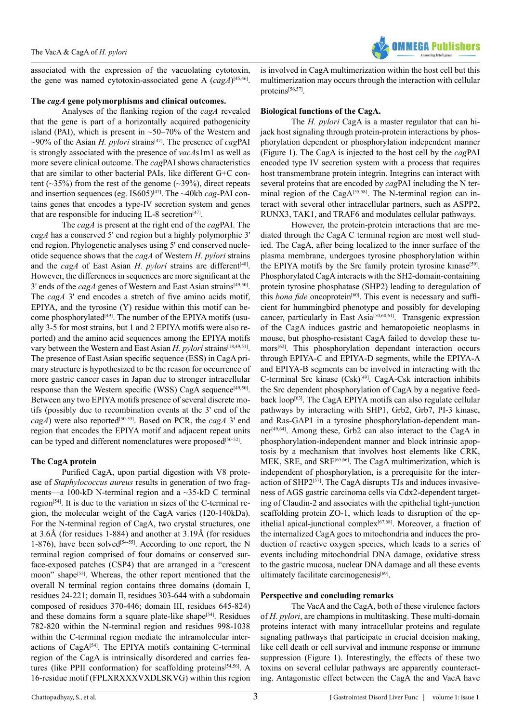

associated with the expression of the vacuolating cytotoxin, the gene was named cytotoxin-associated gene A (*cagA*) [\[45,46\]](#page-4-29).

#### **The** *cagA* **gene polymorphisms and clinical outcomes.**

Analyses of the flanking region of the *cagA* revealed that the gene is part of a horizontally acquired pathogenicity island (PAI), which is present in  $\sim$ 50–70% of the Western and  $\sim$ 90% of the Asian *H. pylori* strains<sup>[\[47\]](#page-5-0)</sup>. The presence of *cagPAI* is strongly associated with the presence of *vacA*s1m1 as well as more severe clinical outcome. The *cag*PAI shows characteristics that are similar to other bacterial PAIs, like different G+C content ( $\sim$ 35%) from the rest of the genome ( $\sim$ 39%), direct repeats and insertion sequences (eg. IS605)<sup>[47]</sup>. The ~40kb *cag*-PAI contains genes that encodes a type-IV secretion system and genes that are responsible for inducing IL-8 secretion<sup>[47]</sup>.

The *cagA* is present at the right end of the *cag*PAI. The *cagA* has a conserved 5' end region but a highly polymorphic 3' end region. Phylogenetic analyses using 5' end conserved nucleotide sequence shows that the *cagA* of Western *H. pylori* strains and the *cagA* of East Asian *H. pylori* strains are different<sup>[\[48\]](#page-5-1)</sup>. However, the differences in sequences are more significant at the 3' ends of the *cagA* genes of Western and East Asian strains<sup>[49,50]</sup>. The *cagA* 3' end encodes a stretch of five amino acids motif, EPIYA, and the tyrosine (Y) residue within this motif can be-come phosphorylated<sup>[\[49\]](#page-5-2)</sup>. The number of the EPIYA motifs (usually 3-5 for most strains, but 1 and 2 EPIYA motifs were also reported) and the amino acid sequences among the EPIYA motifs vary between the Western and East Asian *H. pylori* strains<sup>[\[18,49,51\]](#page-4-11)</sup>. The presence of East Asian specific sequence (ESS) in CagA primary structure is hypothesized to be the reason for occurrence of more gastric cancer cases in Japan due to stronger intracellular response than the Western specific (WSS) CagA sequence<sup>[49,50]</sup>. Between any two EPIYA motifs presence of several discrete motifs (possibly due to recombination events at the 3' end of the *cagA*) were also reported<sup>[\[50-53\]](#page-5-3)</sup>. Based on PCR, the *cagA* 3' end region that encodes the EPIYA motif and adjacent repeat units can be typed and different nomenclatures were proposed<sup>[50-52]</sup>.

#### **The CagA protein**

Purified CagA, upon partial digestion with V8 protease of *Staphylococcus aureus* results in generation of two fragments—a 100-kD N-terminal region and a ~35-kD C terminal region<sup>[\[54\]](#page-5-4)</sup>. It is due to the variation in sizes of the C-terminal region, the molecular weight of the CagA varies (120-140kDa). For the N-terminal region of CagA, two crystal structures, one at 3.6Å (for residues 1-884) and another at 3.19Å (for residues 1-876), have been solved<sup>[54-55]</sup>. According to one report, the N terminal region comprised of four domains or conserved surface-exposed patches (CSP4) that are arranged in a "crescent moon" shape<sup>[\[55\]](#page-5-5)</sup>. Whereas, the other report mentioned that the overall N terminal region contains three domains (domain I, residues 24-221; domain II, residues 303-644 with a subdomain composed of residues 370-446; domain III, residues 645-824) and these domains form a square plate-like shape<sup>[54]</sup>. Residues 782-820 within the N-terminal region and residues 998-1038 within the C-terminal region mediate the intramolecular inter-actions of CagA<sup>[\[54\]](#page-5-4)</sup>. The EPIYA motifs containing C-terminal region of the CagA is intrinsically disordered and carries fea-tures (like PPII conformation) for scaffolding proteins<sup>[\[54,56\]](#page-5-4)</sup>. A 16-residue motif (FPLXRXXXVXDLSKVG) within this region

is involved in CagA multimerization within the host cell but this multimerization may occurs through the interaction with cellular proteins[\[56,57\]](#page-5-6).

#### **Biological functions of the CagA.**

The *H. pylori* CagA is a master regulator that can hijack host signaling through protein-protein interactions by phosphorylation dependent or phosphorylation independent manner (Figure 1). The CagA is injected to the host cell by the *cag*PAI encoded type IV secretion system with a process that requires host transmembrane protein integrin. Integrins can interact with several proteins that are encoded by *cag*PAI including the N ter-minal region of the CagA<sup>[\[55,58\]](#page-5-5)</sup>. The N-terminal region can interact with several other intracellular partners, such as ASPP2, RUNX3, TAK1, and TRAF6 and modulates cellular pathways.

However, the protein-protein interactions that are mediated through the CagA C terminal region are most well studied. The CagA, after being localized to the inner surface of the plasma membrane, undergoes tyrosine phosphorylation within the EPIYA motifs by the Src family protein tyrosine kinase<sup>[59]</sup>. Phosphorylated CagA interacts with the SH2-domain-containing protein tyrosine phosphatase (SHP2) leading to deregulation of this *bona fide* oncoprotein<sup>[60]</sup>. This event is necessary and sufficient for hummingbird phenotype and possibly for developing cancer, particularly in East Asi[a\[50,60,61\]](#page-5-3). Transgenic expression of the CagA induces gastric and hematopoietic neoplasms in mouse, but phospho-resistant CagA failed to develop these tu-mors<sup>[\[62\]](#page-5-9)</sup>. This phosphorylation dependant interaction occurs through EPIYA-C and EPIYA-D segments, while the EPIYA-A and EPIYA-B segments can be involved in interacting with the C-terminal Src kinase (Csk)[\[49\]](#page-5-2). CagA-Csk interaction inhibits the Src dependent phosphorylation of CagA by a negative feedback loop[\[63\].](#page-5-10) The CagA EPIYA motifs can also regulate cellular pathways by interacting with SHP1, Grb2, Grb7, PI-3 kinase, and Ras-GAP1 in a tyrosine phosphorylation-dependent manner[\[49,64\]](#page-5-2). Among these, Grb2 can also interact to the CagA in phosphorylation-independent manner and block intrinsic apoptosis by a mechanism that involves host elements like CRK, MEK, SRE, and SRF[\[65,66\]](#page-5-11). The CagA multimerization, which is independent of phosphorylation, is a prerequisite for the inter-action of SHP2<sup>[\[57\]](#page-5-12)</sup>. The CagA disrupts TJs and induces invasiveness of AGS gastric carcinoma cells via Cdx2-dependent targeting of Claudin-2 and associates with the epithelial tight-junction scaffolding protein ZO-1, which leads to disruption of the epithelial apical-junctional complex<sup>[67,68]</sup>. Moreover, a fraction of the internalized CagA goes to mitochondria and induces the production of reactive oxygen species, which leads to a series of events including mitochondrial DNA damage, oxidative stress to the gastric mucosa, nuclear DNA damage and all these events ultimately facilitate carcinogenesis $[69]$ .

#### **Perspective and concluding remarks**

The VacA and the CagA, both of these virulence factors of *H. pylori*, are champions in multitasking. These multi-domain proteins interact with many intracellular proteins and regulate signaling pathways that participate in crucial decision making, like cell death or cell survival and immune response or immune suppression (Figure 1). Interestingly, the effects of these two toxins on several cellular pathways are apparently counteracting. Antagonistic effect between the CagA the and VacA have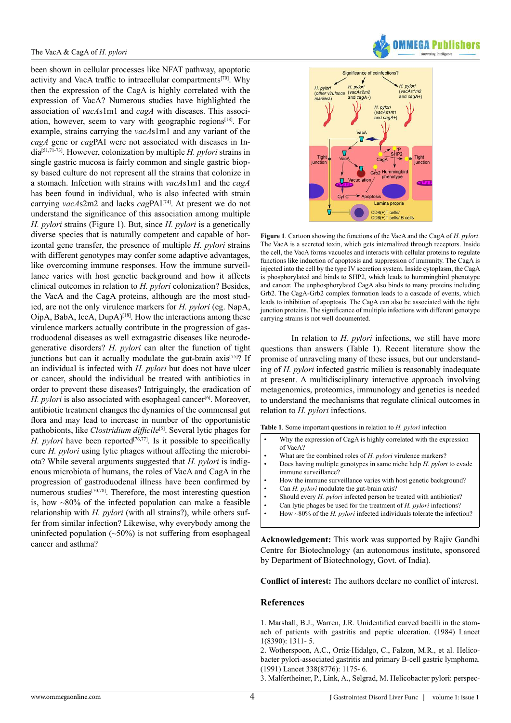been shown in cellular processes like NFAT pathway, apoptotic activity and VacA traffic to intracellular compartments<sup>[70]</sup>. Why then the expression of the CagA is highly correlated with the expression of VacA? Numerous studies have highlighted the association of *vacA*s1m1 and *cagA* with diseases. This associ-ation, however, seem to vary with geographic regions<sup>[\[18\]](#page-4-11)</sup>. For example, strains carrying the *vacA*s1m1 and any variant of the *cagA* gene or *cag*PAI were not associated with diseases in India[\[51,71-73\].](#page-5-16) However, colonization by multiple *H. pylori* strains in single gastric mucosa is fairly common and single gastric biopsy based culture do not represent all the strains that colonize in a stomach. Infection with strains with *vacA*s1m1 and the *cagA* has been found in individual, who is also infected with strain carrying *vacA*s2m2 and lacks *cag*PA[I\[74\]](#page-5-17). At present we do not understand the significance of this association among multiple *H. pylori* strains (Figure 1). But, since *H. pylori* is a genetically diverse species that is naturally competent and capable of horizontal gene transfer, the presence of multiple *H. pylori* strains with different genotypes may confer some adaptive advantages, like overcoming immune responses. How the immune surveillance varies with host genetic background and how it affects clinical outcomes in relation to *H. pylori* colonization? Besides, the VacA and the CagA proteins, although are the most studied, are not the only virulence markers for *H. pylori* (eg. NapA,  $OipA$ , BabA, IceA,  $DupA$ <sup>[\[18\]](#page-4-11)</sup>. How the interactions among these virulence markers actually contribute in the progression of gastroduodenal diseases as well extragastric diseases like neurodegenerative disorders? *H. pylori* can alter the function of tight junctions but can it actually modulate the gut-brain axis<sup>[75]</sup>? If an individual is infected with *H. pylori* but does not have ulcer or cancer, should the individual be treated with antibiotics in order to prevent these diseases? Intriguingly, the eradication of *H. pylori* is also associated with esophageal cancer<sup>[\[6\]](#page-4-30)</sup>. Moreover, antibiotic treatment changes the dynamics of the commensal gut flora and may lead to increase in number of the opportunistic pathobionts, like *Clostridium difficile*<sup>[\[5\]](#page-4-1)</sup>. Several lytic phages for *H. pylori* have been reported<sup>[\[76,77\]](#page-5-19)</sup>. Is it possible to specifically cure *H. pylori* using lytic phages without affecting the microbiota? While several arguments suggested that *H. pylori* is indigenous microbiota of humans, the roles of VacA and CagA in the progression of gastroduodenal illness have been confirmed by numerous studies<sup>[\[70,78\]](#page-5-15)</sup>. Therefore, the most interesting question is, how  $\sim80\%$  of the infected population can make a feasible relationship with *H. pylori* (with all strains?), while others suffer from similar infection? Likewise, why everybody among the uninfected population  $(\sim 50\%)$  is not suffering from esophageal cancer and asthma?





**Figure 1**. Cartoon showing the functions of the VacA and the CagA of *H. pylori*. The VacA is a secreted toxin, which gets internalized through receptors. Inside the cell, the VacA forms vacuoles and interacts with cellular proteins to regulate functions like induction of apoptosis and suppression of immunity. The CagA is injected into the cell by the type IV secretion system. Inside cytoplasm, the CagA is phosphorylated and binds to SHP2, which leads to hummingbird phenotype and cancer. The unphosphorylated CagA also binds to many proteins including Grb2. The CagA-Grb2 complex formation leads to a cascade of events, which leads to inhibition of apoptosis. The CagA can also be associated with the tight junction proteins. The significance of multiple infections with different genotype carrying strains is not well documented.

In relation to *H. pylori* infections, we still have more questions than answers (Table 1). Recent literature show the promise of unraveling many of these issues, but our understanding of *H. pylori* infected gastric milieu is reasonably inadequate at present. A multidisciplinary interactive approach involving metagenomics, proteomics, immunology and genetics is needed to understand the mechanisms that regulate clinical outcomes in relation to *H. pylori* infections.

**Table 1**. Some important questions in relation to *H. pylori* infection

- Why the expression of CagA is highly correlated with the expression of VacA?
- What are the combined roles of *H. pylori* virulence markers?
- Does having multiple genotypes in same niche help *H. pylori* to evade immune surveillance?
- How the immune surveillance varies with host genetic background?
- Can *H. pylori* modulate the gut-brain axis?
- Should every *H. pylori* infected person be treated with antibiotics?
- Can lytic phages be used for the treatment of *H. pylori* infections?
- How ~80% of the *H. pylori* infected individuals tolerate the infection?

**Acknowledgement:** This work was supported by Rajiv Gandhi Centre for Biotechnology (an autonomous institute, sponsored by Department of Biotechnology, Govt. of India).

**Conflict of interest:** The authors declare no conflict of interest.

#### **References**

<span id="page-3-0"></span>[1. Marshall, B.J., Warren, J.R. Unidentified curved bacilli in the stom](http://www.ncbi.nlm.nih.gov/pubmed/6145023)[ach of patients with gastritis and peptic ulceration. \(1984\) Lancet](http://www.ncbi.nlm.nih.gov/pubmed/6145023) [1\(8390\): 1311- 5.](http://www.ncbi.nlm.nih.gov/pubmed/6145023)

[2. Wotherspoon, A.C., Ortiz-Hidalgo, C., Falzon, M.R., et al. Helico](http://www.ncbi.nlm.nih.gov/pubmed/1682595)[bacter pylori-associated gastritis and primary B-cell gastric lymphoma.](http://www.ncbi.nlm.nih.gov/pubmed/1682595) [\(1991\) Lancet 338\(8776\): 1175- 6.](http://www.ncbi.nlm.nih.gov/pubmed/1682595)

<span id="page-3-1"></span>[3. Malfertheiner, P., Link, A., Selgrad, M. Helicobacter pylori: perspec](http://www.ncbi.nlm.nih.gov/pubmed/25001975)-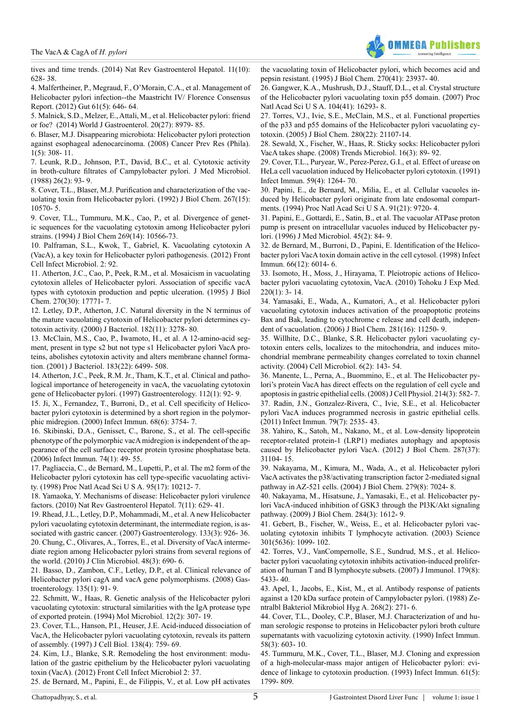

[tives and time trends. \(2014\) Nat Rev Gastroenterol Hepatol. 11\(10\):](http://www.ncbi.nlm.nih.gov/pubmed/25001975)  [628- 38.](http://www.ncbi.nlm.nih.gov/pubmed/25001975)

<span id="page-4-0"></span>[4. Malfertheiner, P., Megraud, F., O'Morain, C.A., et al. Management of](http://www.ncbi.nlm.nih.gov/pubmed/22491499)  [Helicobacter pylori infection--the Maastricht IV/ Florence Consensus](http://www.ncbi.nlm.nih.gov/pubmed/22491499)  [Report. \(2012\) Gut 61\(5\): 646- 64.](http://www.ncbi.nlm.nih.gov/pubmed/22491499)

<span id="page-4-1"></span>[5. Malnick, S.D., Melzer, E., Attali, M., et al. Helicobacter pylori: friend](http://www.ncbi.nlm.nih.gov/pmc/articles/PMC4112870/)  [or foe? \(2014\) World J Gastroenterol. 20\(27\): 8979- 85.](http://www.ncbi.nlm.nih.gov/pmc/articles/PMC4112870/)

<span id="page-4-30"></span>[6. Blaser, M.J. Disappearing microbiota: Helicobacter pylori protection](http://www.ncbi.nlm.nih.gov/pubmed/19138974)  [against esophageal adenocarcinoma. \(2008\) Cancer Prev Res \(Phila\).](http://www.ncbi.nlm.nih.gov/pubmed/19138974)   $1(5)$ : 308- 11.

<span id="page-4-2"></span>[7. Leunk, R.D., Johnson, P.T., David, B.C., et al. Cytotoxic activity](http://www.ncbi.nlm.nih.gov/pubmed/3385767)  [in broth-culture filtrates of Campylobacter pylori. J Med Microbiol.](http://www.ncbi.nlm.nih.gov/pubmed/3385767)  [\(1988\) 26\(2\): 93- 9.](http://www.ncbi.nlm.nih.gov/pubmed/3385767)

<span id="page-4-3"></span>[8. Cover, T.L., Blaser, M.J. Purification and characterization of the vac](http://www.ncbi.nlm.nih.gov/pubmed/1587837)[uolating toxin from Helicobacter pylori. \(1992\) J Biol Chem. 267\(15\):](http://www.ncbi.nlm.nih.gov/pubmed/1587837)  [10570- 5.](http://www.ncbi.nlm.nih.gov/pubmed/1587837)

<span id="page-4-4"></span>[9. Cover, T.L., Tummuru, M.K., Cao, P., et al. Divergence of genet](http://www.ncbi.nlm.nih.gov/pubmed/8144644)[ic sequences for the vacuolating cytotoxin among Helicobacter pylori](http://www.ncbi.nlm.nih.gov/pubmed/8144644)  [strains. \(1994\) J Biol Chem 269\(14\): 10566-73.](http://www.ncbi.nlm.nih.gov/pubmed/8144644)

<span id="page-4-5"></span>[10. Palframan, S.L., Kwok, T., Gabriel, K. Vacuolating cytotoxin A](http://www.ncbi.nlm.nih.gov/pubmed/22919683)  [\(VacA\), a key toxin for Helicobacter pylori pathogenesis. \(2012\) Front](http://www.ncbi.nlm.nih.gov/pubmed/22919683)  [Cell Infect Microbiol. 2: 92.](http://www.ncbi.nlm.nih.gov/pubmed/22919683)

<span id="page-4-6"></span>[11. Atherton, J.C., Cao, P., Peek, R.M., et al. Mosaicism in vacuolating](http://www.ncbi.nlm.nih.gov/pubmed/7629077)  [cytotoxin alleles of Helicobacter pylori. Association of specific vacA](http://www.ncbi.nlm.nih.gov/pubmed/7629077)  [types with cytotoxin production and peptic ulceration. \(1995\) J Biol](http://www.ncbi.nlm.nih.gov/pubmed/7629077)  [Chem. 270\(30\): 17771- 7.](http://www.ncbi.nlm.nih.gov/pubmed/7629077)

<span id="page-4-7"></span>[12. Letley, D.P., Atherton, J.C. Natural diversity in the N terminus of](http://www.ncbi.nlm.nih.gov/pubmed/10809711)  [the mature vacuolating cytotoxin of Helicobacter pylori determines cy](http://www.ncbi.nlm.nih.gov/pubmed/10809711)[totoxin activity. \(2000\) J Bacteriol. 182\(11\): 3278- 80.](http://www.ncbi.nlm.nih.gov/pubmed/10809711)

[13. McClain, M.S., Cao, P., Iwamoto, H., et al. A 12-amino-acid seg](http://www.ncbi.nlm.nih.gov/pubmed/11673417)[ment, present in type s2 but not type s1 Helicobacter pylori VacA pro](http://www.ncbi.nlm.nih.gov/pubmed/11673417)[teins, abolishes cytotoxin activity and alters membrane channel forma](http://www.ncbi.nlm.nih.gov/pubmed/11673417)[tion. \(2001\) J Bacteriol. 183\(22\): 6499- 508.](http://www.ncbi.nlm.nih.gov/pubmed/11673417)

<span id="page-4-8"></span>[14. Atherton, J.C., Peek, R.M. Jr., Tham, K.T., et al. Clinical and patho](http://www.ncbi.nlm.nih.gov/pubmed/8978347)[logical importance of heterogeneity in vacA, the vacuolating cytotoxin](http://www.ncbi.nlm.nih.gov/pubmed/8978347)  [gene of Helicobacter pylori. \(1997\) Gastroenterology. 112\(1\): 92- 9.](http://www.ncbi.nlm.nih.gov/pubmed/8978347)

<span id="page-4-9"></span>[15. Ji, X., Fernandez, T., Burroni, D., et al. Cell specificity of Helico](http://www.ncbi.nlm.nih.gov/pubmed/10816542)[bacter pylori cytotoxin is determined by a short region in the polymor](http://www.ncbi.nlm.nih.gov/pubmed/10816542)[phic midregion. \(2000\) Infect Immun. 68\(6\): 3754- 7.](http://www.ncbi.nlm.nih.gov/pubmed/10816542)

[16. Skibinski, D.A., Genisset, C., Barone, S., et al. The cell-specific](http://www.ncbi.nlm.nih.gov/pubmed/16368956)  [phenotype of the polymorphic vacA midregion is independent of the ap](http://www.ncbi.nlm.nih.gov/pubmed/16368956)[pearance of the cell surface receptor protein tyrosine phosphatase beta.](http://www.ncbi.nlm.nih.gov/pubmed/16368956)  [\(2006\) Infect Immun. 74\(1\): 49- 55.](http://www.ncbi.nlm.nih.gov/pubmed/16368956)

<span id="page-4-10"></span>[17. Pagliaccia, C., de Bernard, M., Lupetti, P., et al. The m2 form of the](http://www.ncbi.nlm.nih.gov/pubmed/9707626)  [Helicobacter pylori cytotoxin has cell type-specific vacuolating activi](http://www.ncbi.nlm.nih.gov/pubmed/9707626)[ty. \(1998\) Proc Natl Acad Sci U S A. 95\(17\): 10212- 7.](http://www.ncbi.nlm.nih.gov/pubmed/9707626)

<span id="page-4-11"></span>[18. Yamaoka, Y. Mechanisms of disease: Helicobacter pylori virulence](http://www.ncbi.nlm.nih.gov/pubmed/20938460)  [factors. \(2010\) Nat Rev Gastroenterol Hepatol. 7\(11\): 629- 41.](http://www.ncbi.nlm.nih.gov/pubmed/20938460)

<span id="page-4-12"></span>[19. Rhead, J.L., Letley, D.P., Mohammadi, M., et al. A new Helicobacter](http://www.ncbi.nlm.nih.gov/pubmed/17854597)  [pylori vacuolating cytotoxin determinant, the intermediate region, is as](http://www.ncbi.nlm.nih.gov/pubmed/17854597)[sociated with gastric cancer. \(2007\) Gastroenterology. 133\(3\): 926- 36.](http://www.ncbi.nlm.nih.gov/pubmed/17854597) [20. Chung, C., Olivares, A., Torres, E., et al. Diversity of VacA interme](http://www.ncbi.nlm.nih.gov/pubmed/20053862)[diate region among Helicobacter pylori strains from several regions of](http://www.ncbi.nlm.nih.gov/pubmed/20053862)  [the world. \(2010\) J Clin Microbiol. 48\(3\): 690- 6.](http://www.ncbi.nlm.nih.gov/pubmed/20053862)

[21. Basso, D., Zambon, C.F., Letley, D.P., et al. Clinical relevance of](http://www.ncbi.nlm.nih.gov/pubmed/18474244)  [Helicobacter pylori cagA and vacA gene polymorphisms. \(2008\) Gas](http://www.ncbi.nlm.nih.gov/pubmed/18474244)[troenterology. 135\(1\): 91- 9.](http://www.ncbi.nlm.nih.gov/pubmed/18474244)

<span id="page-4-13"></span>[22. Schmitt, W., Haas, R. Genetic analysis of the Helicobacter pylori](http://www.ncbi.nlm.nih.gov/pubmed/8057855)  [vacuolating cytotoxin: structural similarities with the IgA protease type](http://www.ncbi.nlm.nih.gov/pubmed/8057855)  [of exported protein. \(1994\) Mol Microbiol. 12\(2\): 307- 19.](http://www.ncbi.nlm.nih.gov/pubmed/8057855)

<span id="page-4-14"></span>[23. Cover, T.L., Hanson, P.I., Heuser, J.E. Acid-induced dissociation of](http://www.ncbi.nlm.nih.gov/pubmed/9265644)  [VacA, the Helicobacter pylori vacuolating cytotoxin, reveals its pattern](http://www.ncbi.nlm.nih.gov/pubmed/9265644)  [of assembly. \(1997\) J Cell Biol. 138\(4\): 759- 69.](http://www.ncbi.nlm.nih.gov/pubmed/9265644)

<span id="page-4-16"></span>[24. Kim, I.J., Blanke, S.R. Remodeling the host environment: modu](http://www.ncbi.nlm.nih.gov/pubmed/22919629)[lation of the gastric epithelium by the Helicobacter pylori vacuolating](http://www.ncbi.nlm.nih.gov/pubmed/22919629)  [toxin \(VacA\). \(2012\) Front Cell Infect Microbiol 2: 37.](http://www.ncbi.nlm.nih.gov/pubmed/22919629)

[25. de Bernard, M., Papini, E., de Filippis, V., et al. Low pH activates](http://www.ncbi.nlm.nih.gov/pubmed/7592587) 

[the vacuolating toxin of Helicobacter pylori, which becomes acid and](http://www.ncbi.nlm.nih.gov/pubmed/7592587) [pepsin resistant. \(1995\) J Biol Chem. 270\(41\): 23937- 40.](http://www.ncbi.nlm.nih.gov/pubmed/7592587)

<span id="page-4-15"></span>[26. Gangwer, K.A., Mushrush, D.J., Stauff, D.L., et al. Crystal structure](http://www.ncbi.nlm.nih.gov/pubmed/17911250) [of the Helicobacter pylori vacuolating toxin p55 domain. \(2007\) Proc](http://www.ncbi.nlm.nih.gov/pubmed/17911250) [Natl Acad Sci U S A. 104\(41\): 16293- 8.](http://www.ncbi.nlm.nih.gov/pubmed/17911250)

<span id="page-4-17"></span>[27. Torres, V.J., Ivie, S.E., McClain, M.S., et al. Functional properties](http://www.ncbi.nlm.nih.gov/pubmed/15817461) [of the p33 and p55 domains of the Helicobacter pylori vacuolating cy](http://www.ncbi.nlm.nih.gov/pubmed/15817461)[totoxin. \(2005\) J Biol Chem. 280\(22\): 21107-14.](http://www.ncbi.nlm.nih.gov/pubmed/15817461)

[28. Sewald, X., Fischer, W., Haas, R. Sticky socks: Helicobacter pylori](http://www.ncbi.nlm.nih.gov/pubmed/18280164) [VacA takes shape. \(2008\) Trends Microbiol. 16\(3\): 89- 92.](http://www.ncbi.nlm.nih.gov/pubmed/18280164)

<span id="page-4-18"></span>[29. Cover, T.L., Puryear, W., Perez-Perez, G.I., et al. Effect of urease on](http://www.ncbi.nlm.nih.gov/pubmed/2004808) [HeLa cell vacuolation induced by Helicobacter pylori cytotoxin. \(1991\)](http://www.ncbi.nlm.nih.gov/pubmed/2004808) [Infect Immun. 59\(4\): 1264- 70.](http://www.ncbi.nlm.nih.gov/pubmed/2004808)

<span id="page-4-19"></span>[30. Papini, E., de Bernard, M., Milia, E., et al. Cellular vacuoles in](http://www.ncbi.nlm.nih.gov/pubmed/7937879)[duced by Helicobacter pylori originate from late endosomal compart](http://www.ncbi.nlm.nih.gov/pubmed/7937879)[ments. \(1994\) Proc Natl Acad Sci U S A. 91\(21\): 9720- 4.](http://www.ncbi.nlm.nih.gov/pubmed/7937879)

[31. Papini, E., Gottardi, E., Satin, B., et al. The vacuolar ATPase proton](http://www.ncbi.nlm.nih.gov/pubmed/8683556) [pump is present on intracellular vacuoles induced by Helicobacter py](http://www.ncbi.nlm.nih.gov/pubmed/8683556)[lori. \(1996\) J Med Microbiol. 45\(2\): 84- 9.](http://www.ncbi.nlm.nih.gov/pubmed/8683556)

[32. de Bernard, M., Burroni, D., Papini, E. Identification of the Helico](http://www.ncbi.nlm.nih.gov/pubmed/9826387)[bacter pylori VacA toxin domain active in the cell cytosol. \(1998\) Infect](http://www.ncbi.nlm.nih.gov/pubmed/9826387) [Immun. 66\(12\): 6014- 6.](http://www.ncbi.nlm.nih.gov/pubmed/9826387)

<span id="page-4-20"></span>[33. Isomoto, H., Moss, J., Hirayama, T. Pleiotropic actions of Helico](http://www.ncbi.nlm.nih.gov/pubmed/20046046)[bacter pylori vacuolating cytotoxin, VacA. \(2010\) Tohoku J Exp Med.](http://www.ncbi.nlm.nih.gov/pubmed/20046046) [220\(1\): 3- 14.](http://www.ncbi.nlm.nih.gov/pubmed/20046046)

<span id="page-4-21"></span>[34. Yamasaki, E., Wada, A., Kumatori, A., et al. Helicobacter pylori](http://www.ncbi.nlm.nih.gov/pubmed/16436379) [vacuolating cytotoxin induces activation of the proapoptotic proteins](http://www.ncbi.nlm.nih.gov/pubmed/16436379) [Bax and Bak, leading to cytochrome c release and cell death, indepen](http://www.ncbi.nlm.nih.gov/pubmed/16436379)[dent of vacuolation. \(2006\) J Biol Chem. 281\(16\): 11250- 9.](http://www.ncbi.nlm.nih.gov/pubmed/16436379)

[35. Willhite, D.C., Blanke, S.R. Helicobacter pylori vacuolating cy](http://www.ncbi.nlm.nih.gov/pubmed/14706100)[totoxin enters cells, localizes to the mitochondria, and induces mito](http://www.ncbi.nlm.nih.gov/pubmed/14706100)[chondrial membrane permeability changes correlated to toxin channel](http://www.ncbi.nlm.nih.gov/pubmed/14706100) [activity. \(2004\) Cell Microbiol. 6\(2\): 143- 54.](http://www.ncbi.nlm.nih.gov/pubmed/14706100)

<span id="page-4-22"></span>[36. Manente, L., Perna, A., Buommino, E., et al. The Helicobacter py](http://www.ncbi.nlm.nih.gov/pubmed/17786942)[lori's protein VacA has direct effects on the regulation of cell cycle and](http://www.ncbi.nlm.nih.gov/pubmed/17786942) [apoptosis in gastric epithelial cells. \(2008\) J Cell Physiol. 214\(3\): 582- 7.](http://www.ncbi.nlm.nih.gov/pubmed/17786942) [37. Radin, J.N., Gonzalez-Rivera, C., Ivie, S.E., et al. Helicobacter](http://www.ncbi.nlm.nih.gov/pubmed/21482684) [pylori VacA induces programmed necrosis in gastric epithelial cells.](http://www.ncbi.nlm.nih.gov/pubmed/21482684) [\(2011\) Infect Immun. 79\(7\): 2535- 43.](http://www.ncbi.nlm.nih.gov/pubmed/21482684)

<span id="page-4-23"></span>[38. Yahiro, K., Satoh, M., Nakano, M., et al. Low-density lipoprotein](http://www.ncbi.nlm.nih.gov/pubmed/22822085) [receptor-related protein-1 \(LRP1\) mediates autophagy and apoptosis](http://www.ncbi.nlm.nih.gov/pubmed/22822085) [caused by Helicobacter pylori VacA. \(2012\) J Biol Chem. 287\(37\):](http://www.ncbi.nlm.nih.gov/pubmed/22822085) [31104- 15.](http://www.ncbi.nlm.nih.gov/pubmed/22822085)

<span id="page-4-24"></span>[39. Nakayama, M., Kimura, M., Wada, A., et al. Helicobacter pylori](http://www.ncbi.nlm.nih.gov/pubmed/14630932) [VacA activates the p38/activating transcription factor 2-mediated signal](http://www.ncbi.nlm.nih.gov/pubmed/14630932) [pathway in AZ-521 cells. \(2004\) J Biol Chem. 279\(8\): 7024- 8.](http://www.ncbi.nlm.nih.gov/pubmed/14630932)

<span id="page-4-25"></span>[40. Nakayama, M., Hisatsune, J., Yamasaki, E., et al. Helicobacter py](http://www.ncbi.nlm.nih.gov/pubmed/18996844)[lori VacA-induced inhibition of GSK3 through the PI3K/Akt signaling](http://www.ncbi.nlm.nih.gov/pubmed/18996844) [pathway. \(2009\) J Biol Chem. 284\(3\): 1612- 9.](http://www.ncbi.nlm.nih.gov/pubmed/18996844)

<span id="page-4-26"></span>[41. Gebert, B., Fischer, W., Weiss, E., et al. Helicobacter pylori vac](http://www.ncbi.nlm.nih.gov/pubmed/12934009)[uolating cytotoxin inhibits T lymphocyte activation. \(2003\) Science](http://www.ncbi.nlm.nih.gov/pubmed/12934009) [301\(5636\): 1099- 102.](http://www.ncbi.nlm.nih.gov/pubmed/12934009)

[42. Torres, V.J., VanCompernolle, S.E., Sundrud, M.S., et al. Helico](http://www.ncbi.nlm.nih.gov/pubmed/17911630)[bacter pylori vacuolating cytotoxin inhibits activation-induced prolifer](http://www.ncbi.nlm.nih.gov/pubmed/17911630)[ation of human T and B lymphocyte subsets. \(2007\) J Immunol. 179\(8\):](http://www.ncbi.nlm.nih.gov/pubmed/17911630) [5433- 40.](http://www.ncbi.nlm.nih.gov/pubmed/17911630)

<span id="page-4-27"></span>[43. Apel, I., Jacobs, E., Kist, M., et al. Antibody response of patients](http://www.ncbi.nlm.nih.gov/pubmed/3394453) [against a 120 kDa surface protein of Campylobacter pylori. \(1988\) Ze](http://www.ncbi.nlm.nih.gov/pubmed/3394453)[ntralbl Bakteriol Mikrobiol Hyg A. 268\(2\): 271- 6.](http://www.ncbi.nlm.nih.gov/pubmed/3394453)

<span id="page-4-28"></span>[44. Cover, T.L., Dooley, C.P., Blaser, M.J. Characterization of and hu](http://www.ncbi.nlm.nih.gov/pubmed/2307514)[man serologic response to proteins in Helicobacter pylori broth culture](http://www.ncbi.nlm.nih.gov/pubmed/2307514) [supernatants with vacuolizing cytotoxin activity. \(1990\) Infect Immun.](http://www.ncbi.nlm.nih.gov/pubmed/2307514) [58\(3\): 603- 10.](http://www.ncbi.nlm.nih.gov/pubmed/2307514)

<span id="page-4-29"></span>[45. Tummuru, M.K., Cover, T.L., Blaser, M.J. Cloning and expression](http://www.ncbi.nlm.nih.gov/pubmed/8478069) [of a high-molecular-mass major antigen of Helicobacter pylori: evi](http://www.ncbi.nlm.nih.gov/pubmed/8478069)[dence of linkage to cytotoxin production. \(1993\) Infect Immun. 61\(5\):](http://www.ncbi.nlm.nih.gov/pubmed/8478069) [1799- 809.](http://www.ncbi.nlm.nih.gov/pubmed/8478069)